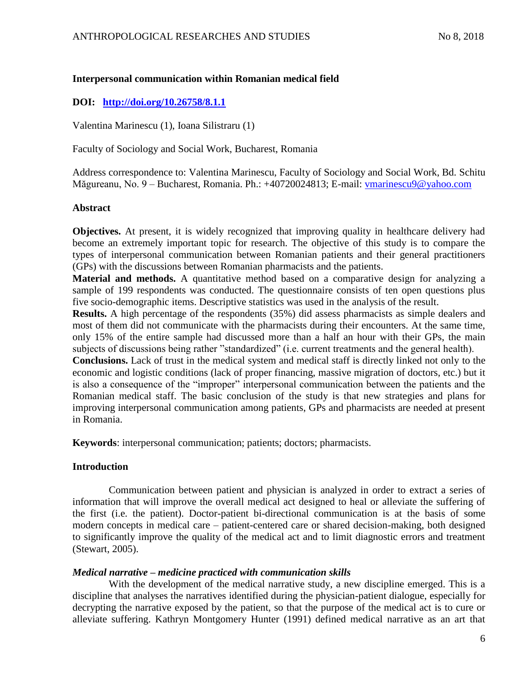## **Interpersonal communication within Romanian medical field**

# **DOI: http://doi.org/10.26758/8.1.1**

Valentina Marinescu (1), Ioana Silistraru (1)

Faculty of Sociology and Social Work, Bucharest, Romania

Address correspondence to: Valentina Marinescu, Faculty of Sociology and Social Work, Bd. Schitu Măgureanu, No. 9 – Bucharest, Romania. Ph.: +40720024813; E-mail: [vmarinescu9@yahoo.com](mailto:vmarinescu9@yahoo.com)

## **Abstract**

**Objectives.** At present, it is widely recognized that improving quality in healthcare delivery had become an extremely important topic for research. The objective of this study is to compare the types of interpersonal communication between Romanian patients and their general practitioners (GPs) with the discussions between Romanian pharmacists and the patients.

**Material and methods.** A quantitative method based on a comparative design for analyzing a sample of 199 respondents was conducted. The questionnaire consists of ten open questions plus five socio-demographic items. Descriptive statistics was used in the analysis of the result.

**Results.** A high percentage of the respondents (35%) did assess pharmacists as simple dealers and most of them did not communicate with the pharmacists during their encounters. At the same time, only 15% of the entire sample had discussed more than a half an hour with their GPs, the main subjects of discussions being rather "standardized" (i.e. current treatments and the general health).

**Conclusions.** Lack of trust in the medical system and medical staff is directly linked not only to the economic and logistic conditions (lack of proper financing, massive migration of doctors, etc.) but it is also a consequence of the "improper" interpersonal communication between the patients and the Romanian medical staff. The basic conclusion of the study is that new strategies and plans for improving interpersonal communication among patients, GPs and pharmacists are needed at present in Romania.

**Keywords**: interpersonal communication; patients; doctors; pharmacists.

# **Introduction**

Communication between patient and physician is analyzed in order to extract a series of information that will improve the overall medical act designed to heal or alleviate the suffering of the first (i.e. the patient). Doctor-patient bi-directional communication is at the basis of some modern concepts in medical care – patient-centered care or shared decision-making, both designed to significantly improve the quality of the medical act and to limit diagnostic errors and treatment (Stewart, 2005).

# *Medical narrative – medicine practiced with communication skills*

With the development of the medical narrative study, a new discipline emerged. This is a discipline that analyses the narratives identified during the physician-patient dialogue, especially for decrypting the narrative exposed by the patient, so that the purpose of the medical act is to cure or alleviate suffering. Kathryn Montgomery Hunter (1991) defined medical narrative as an art that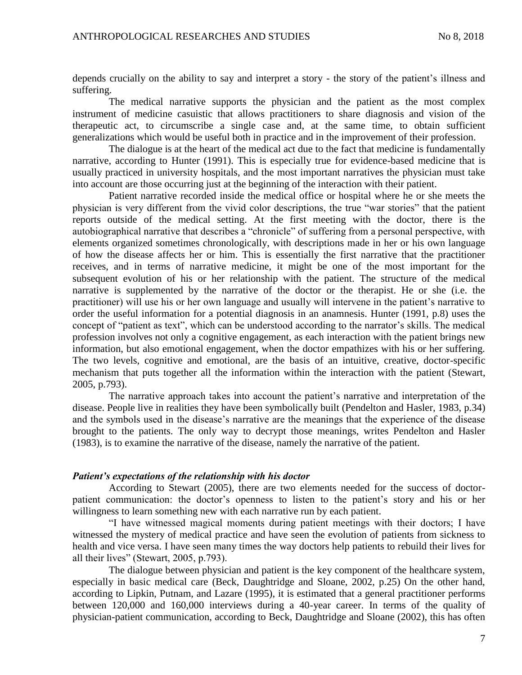depends crucially on the ability to say and interpret a story - the story of the patient's illness and suffering.

The medical narrative supports the physician and the patient as the most complex instrument of medicine casuistic that allows practitioners to share diagnosis and vision of the therapeutic act, to circumscribe a single case and, at the same time, to obtain sufficient generalizations which would be useful both in practice and in the improvement of their profession.

The dialogue is at the heart of the medical act due to the fact that medicine is fundamentally narrative, according to Hunter (1991). This is especially true for evidence-based medicine that is usually practiced in university hospitals, and the most important narratives the physician must take into account are those occurring just at the beginning of the interaction with their patient.

Patient narrative recorded inside the medical office or hospital where he or she meets the physician is very different from the vivid color descriptions, the true "war stories" that the patient reports outside of the medical setting. At the first meeting with the doctor, there is the autobiographical narrative that describes a "chronicle" of suffering from a personal perspective, with elements organized sometimes chronologically, with descriptions made in her or his own language of how the disease affects her or him. This is essentially the first narrative that the practitioner receives, and in terms of narrative medicine, it might be one of the most important for the subsequent evolution of his or her relationship with the patient. The structure of the medical narrative is supplemented by the narrative of the doctor or the therapist. He or she (i.e. the practitioner) will use his or her own language and usually will intervene in the patient's narrative to order the useful information for a potential diagnosis in an anamnesis. Hunter (1991, p.8) uses the concept of "patient as text", which can be understood according to the narrator's skills. The medical profession involves not only a cognitive engagement, as each interaction with the patient brings new information, but also emotional engagement, when the doctor empathizes with his or her suffering. The two levels, cognitive and emotional, are the basis of an intuitive, creative, doctor-specific mechanism that puts together all the information within the interaction with the patient (Stewart, 2005, p.793).

The narrative approach takes into account the patient's narrative and interpretation of the disease. People live in realities they have been symbolically built (Pendelton and Hasler, 1983, p.34) and the symbols used in the disease's narrative are the meanings that the experience of the disease brought to the patients. The only way to decrypt those meanings, writes Pendelton and Hasler (1983), is to examine the narrative of the disease, namely the narrative of the patient.

#### *Patient's expectations of the relationship with his doctor*

According to Stewart (2005), there are two elements needed for the success of doctorpatient communication: the doctor's openness to listen to the patient's story and his or her willingness to learn something new with each narrative run by each patient.

"I have witnessed magical moments during patient meetings with their doctors; I have witnessed the mystery of medical practice and have seen the evolution of patients from sickness to health and vice versa. I have seen many times the way doctors help patients to rebuild their lives for all their lives" (Stewart, 2005, p.793).

The dialogue between physician and patient is the key component of the healthcare system, especially in basic medical care (Beck, Daughtridge and Sloane, 2002, p.25) On the other hand, according to Lipkin, Putnam, and Lazare (1995), it is estimated that a general practitioner performs between 120,000 and 160,000 interviews during a 40-year career. In terms of the quality of physician-patient communication, according to Beck, Daughtridge and Sloane (2002), this has often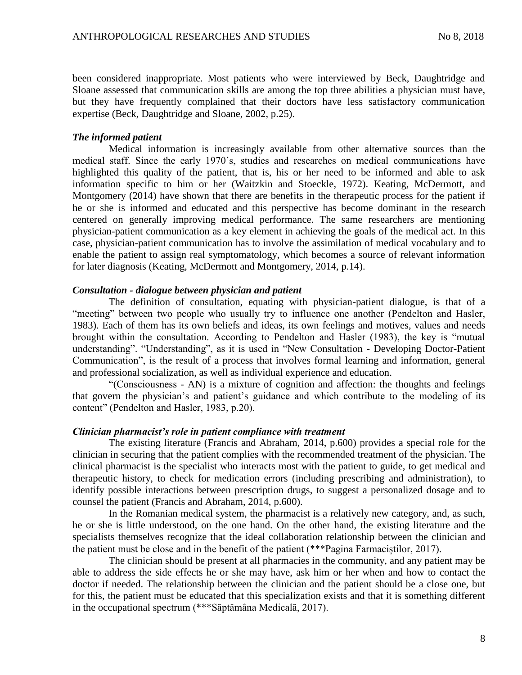been considered inappropriate. Most patients who were interviewed by Beck, Daughtridge and Sloane assessed that communication skills are among the top three abilities a physician must have, but they have frequently complained that their doctors have less satisfactory communication expertise (Beck, Daughtridge and Sloane, 2002, p.25).

#### *The informed patient*

Medical information is increasingly available from other alternative sources than the medical staff. Since the early 1970's, studies and researches on medical communications have highlighted this quality of the patient, that is, his or her need to be informed and able to ask information specific to him or her (Waitzkin and Stoeckle, 1972). Keating, McDermott, and Montgomery (2014) have shown that there are benefits in the therapeutic process for the patient if he or she is informed and educated and this perspective has become dominant in the research centered on generally improving medical performance. The same researchers are mentioning physician-patient communication as a key element in achieving the goals of the medical act. In this case, physician-patient communication has to involve the assimilation of medical vocabulary and to enable the patient to assign real symptomatology, which becomes a source of relevant information for later diagnosis (Keating, McDermott and Montgomery, 2014, p.14).

#### *Consultation - dialogue between physician and patient*

The definition of consultation, equating with physician-patient dialogue, is that of a "meeting" between two people who usually try to influence one another (Pendelton and Hasler, 1983). Each of them has its own beliefs and ideas, its own feelings and motives, values and needs brought within the consultation. According to Pendelton and Hasler (1983), the key is "mutual understanding". "Understanding", as it is used in "New Consultation - Developing Doctor-Patient Communication", is the result of a process that involves formal learning and information, general and professional socialization, as well as individual experience and education.

"(Consciousness - AN) is a mixture of cognition and affection: the thoughts and feelings that govern the physician's and patient's guidance and which contribute to the modeling of its content" (Pendelton and Hasler, 1983, p.20).

### *Clinician pharmacist's role in patient compliance with treatment*

The existing literature (Francis and Abraham, 2014, p.600) provides a special role for the clinician in securing that the patient complies with the recommended treatment of the physician. The clinical pharmacist is the specialist who interacts most with the patient to guide, to get medical and therapeutic history, to check for medication errors (including prescribing and administration), to identify possible interactions between prescription drugs, to suggest a personalized dosage and to counsel the patient (Francis and Abraham, 2014, p.600).

In the Romanian medical system, the pharmacist is a relatively new category, and, as such, he or she is little understood, on the one hand. On the other hand, the existing literature and the specialists themselves recognize that the ideal collaboration relationship between the clinician and the patient must be close and in the benefit of the patient (\*\*\*Pagina Farmaciștilor, 2017).

The clinician should be present at all pharmacies in the community, and any patient may be able to address the side effects he or she may have, ask him or her when and how to contact the doctor if needed. The relationship between the clinician and the patient should be a close one, but for this, the patient must be educated that this specialization exists and that it is something different in the occupational spectrum (\*\*\*Săptămâna Medicală, 2017).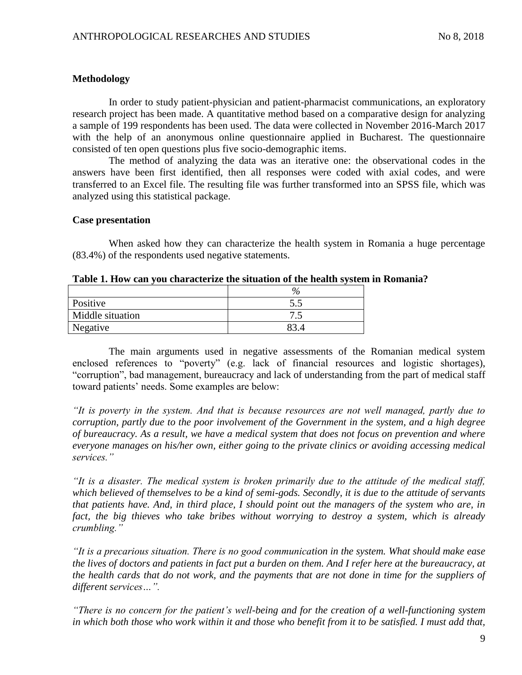## **Methodology**

In order to study patient-physician and patient-pharmacist communications, an exploratory research project has been made. A quantitative method based on a comparative design for analyzing a sample of 199 respondents has been used. The data were collected in November 2016-March 2017 with the help of an anonymous online questionnaire applied in Bucharest. The questionnaire consisted of ten open questions plus five socio-demographic items.

The method of analyzing the data was an iterative one: the observational codes in the answers have been first identified, then all responses were coded with axial codes, and were transferred to an Excel file. The resulting file was further transformed into an SPSS file, which was analyzed using this statistical package.

### **Case presentation**

When asked how they can characterize the health system in Romania a huge percentage (83.4%) of the respondents used negative statements.

| Positive         | ن د |
|------------------|-----|
| Middle situation | ں و |
| Negative         |     |

The main arguments used in negative assessments of the Romanian medical system enclosed references to "poverty" (e.g. lack of financial resources and logistic shortages), "corruption", bad management, bureaucracy and lack of understanding from the part of medical staff toward patients' needs. Some examples are below:

*"It is poverty in the system. And that is because resources are not well managed, partly due to corruption, partly due to the poor involvement of the Government in the system, and a high degree of bureaucracy. As a result, we have a medical system that does not focus on prevention and where everyone manages on his/her own, either going to the private clinics or avoiding accessing medical services."* 

*"It is a disaster. The medical system is broken primarily due to the attitude of the medical staff, which believed of themselves to be a kind of semi-gods. Secondly, it is due to the attitude of servants that patients have. And, in third place, I should point out the managers of the system who are, in fact, the big thieves who take bribes without worrying to destroy a system, which is already crumbling."*

*"It is a precarious situation. There is no good communication in the system. What should make ease the lives of doctors and patients in fact put a burden on them. And I refer here at the bureaucracy, at the health cards that do not work, and the payments that are not done in time for the suppliers of different services…".*

*"There is no concern for the patient's well-being and for the creation of a well-functioning system in which both those who work within it and those who benefit from it to be satisfied. I must add that,*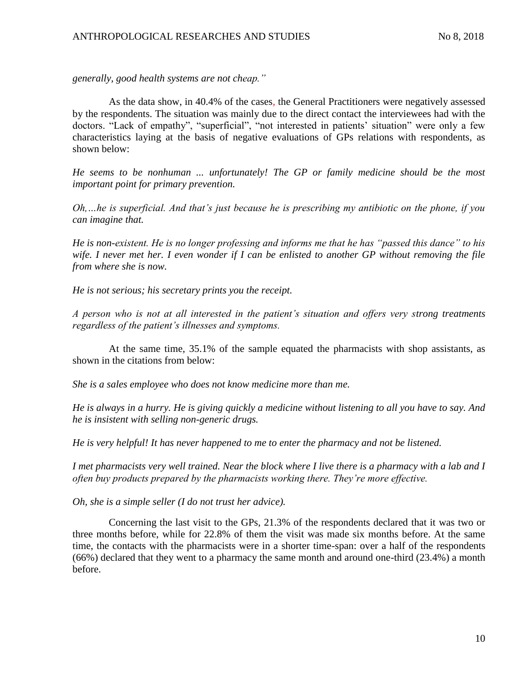*generally, good health systems are not cheap."*

As the data show, in 40.4% of the cases, the General Practitioners were negatively assessed by the respondents. The situation was mainly due to the direct contact the interviewees had with the doctors. "Lack of empathy", "superficial", "not interested in patients' situation" were only a few characteristics laying at the basis of negative evaluations of GPs relations with respondents, as shown below:

*He seems to be nonhuman ... unfortunately! The GP or family medicine should be the most important point for primary prevention.*

*Oh,…he is superficial. And that's just because he is prescribing my antibiotic on the phone, if you can imagine that.*

*He is non-existent. He is no longer professing and informs me that he has "passed this dance" to his wife. I never met her. I even wonder if I can be enlisted to another GP without removing the file from where she is now.*

*He is not serious; his secretary prints you the receipt.*

*A person who is not at all interested in the patient's situation and offers very strong treatments regardless of the patient's illnesses and symptoms.*

At the same time, 35.1% of the sample equated the pharmacists with shop assistants, as shown in the citations from below:

*She is a sales employee who does not know medicine more than me.*

*He is always in a hurry. He is giving quickly a medicine without listening to all you have to say. And he is insistent with selling non-generic drugs.*

*He is very helpful! It has never happened to me to enter the pharmacy and not be listened.*

*I met pharmacists very well trained. Near the block where I live there is a pharmacy with a lab and I often buy products prepared by the pharmacists working there. They're more effective.*

*Oh, she is a simple seller (I do not trust her advice).*

Concerning the last visit to the GPs, 21.3% of the respondents declared that it was two or three months before, while for 22.8% of them the visit was made six months before. At the same time, the contacts with the pharmacists were in a shorter time-span: over a half of the respondents (66%) declared that they went to a pharmacy the same month and around one-third (23.4%) a month before.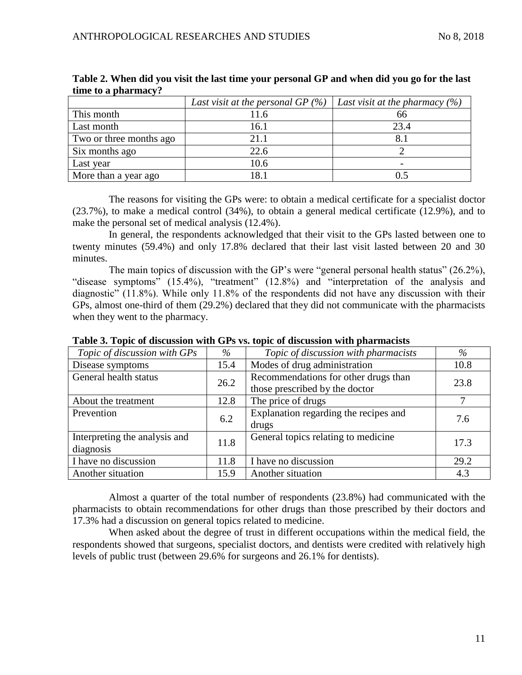|                         | Last visit at the personal GP $(\%)$ | Last visit at the pharmacy $(\%)$ |
|-------------------------|--------------------------------------|-----------------------------------|
| This month              | 11.6                                 | 66                                |
| Last month              | 16.1                                 | 23.4                              |
| Two or three months ago | 21.1                                 |                                   |
| Six months ago          | 22.6                                 |                                   |
| Last year               | 10.6                                 |                                   |
| More than a year ago    | 181                                  |                                   |

**Table 2. When did you visit the last time your personal GP and when did you go for the last time to a pharmacy?**

The reasons for visiting the GPs were: to obtain a medical certificate for a specialist doctor (23.7%), to make a medical control (34%), to obtain a general medical certificate (12.9%), and to make the personal set of medical analysis (12.4%).

In general, the respondents acknowledged that their visit to the GPs lasted between one to twenty minutes (59.4%) and only 17.8% declared that their last visit lasted between 20 and 30 minutes.

The main topics of discussion with the GP's were "general personal health status" (26.2%), "disease symptoms" (15.4%), "treatment" (12.8%) and "interpretation of the analysis and diagnostic" (11.8%). While only 11.8% of the respondents did not have any discussion with their GPs, almost one-third of them (29.2%) declared that they did not communicate with the pharmacists when they went to the pharmacy.

| Topic of discussion with GPs  | $\%$                                         | Topic of discussion with pharmacists  | $\%$ |  |
|-------------------------------|----------------------------------------------|---------------------------------------|------|--|
| Disease symptoms              | 15.4                                         | Modes of drug administration          | 10.8 |  |
| General health status         | Recommendations for other drugs than<br>26.2 |                                       | 23.8 |  |
|                               |                                              | those prescribed by the doctor        |      |  |
| About the treatment           | 12.8                                         | The price of drugs                    | 7    |  |
| Prevention                    | 6.2                                          | Explanation regarding the recipes and | 7.6  |  |
|                               |                                              | drugs                                 |      |  |
| Interpreting the analysis and | General topics relating to medicine<br>11.8  |                                       | 17.3 |  |
| diagnosis                     |                                              |                                       |      |  |
| I have no discussion          | 11.8                                         | I have no discussion                  | 29.2 |  |
| Another situation             | 15.9                                         | Another situation                     | 4.3  |  |

**Table 3. Topic of discussion with GPs vs. topic of discussion with pharmacists**

Almost a quarter of the total number of respondents (23.8%) had communicated with the pharmacists to obtain recommendations for other drugs than those prescribed by their doctors and 17.3% had a discussion on general topics related to medicine.

When asked about the degree of trust in different occupations within the medical field, the respondents showed that surgeons, specialist doctors, and dentists were credited with relatively high levels of public trust (between 29.6% for surgeons and 26.1% for dentists).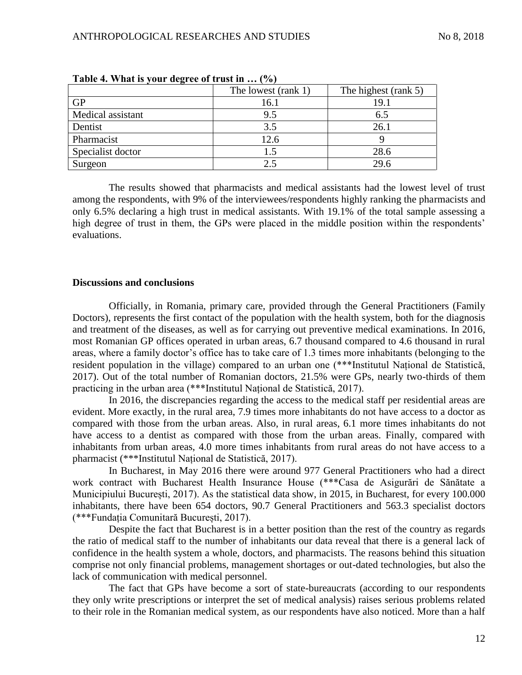|                   | The lowest (rank 1) | The highest (rank 5) |
|-------------------|---------------------|----------------------|
| <b>GP</b>         | 16.1                | 19.1                 |
| Medical assistant | 9.5                 | 6.5                  |
| Dentist           | 3.5                 | 26.1                 |
| Pharmacist        | 12.6                |                      |
| Specialist doctor | L.5                 | 28.6                 |
| Surgeon           | 2.5                 | 29.6                 |

**Table 4. What is your degree of trust in … (%)**

The results showed that pharmacists and medical assistants had the lowest level of trust among the respondents, with 9% of the interviewees/respondents highly ranking the pharmacists and only 6.5% declaring a high trust in medical assistants. With 19.1% of the total sample assessing a high degree of trust in them, the GPs were placed in the middle position within the respondents' evaluations.

### **Discussions and conclusions**

Officially, in Romania, primary care, provided through the General Practitioners (Family Doctors), represents the first contact of the population with the health system, both for the diagnosis and treatment of the diseases, as well as for carrying out preventive medical examinations. In 2016, most Romanian GP offices operated in urban areas, 6.7 thousand compared to 4.6 thousand in rural areas, where a family doctor's office has to take care of 1.3 times more inhabitants (belonging to the resident population in the village) compared to an urban one (\*\*\*Institutul Național de Statistică, 2017). Out of the total number of Romanian doctors, 21.5% were GPs, nearly two-thirds of them practicing in the urban area (\*\*\*Institutul Național de Statistică, 2017).

In 2016, the discrepancies regarding the access to the medical staff per residential areas are evident. More exactly, in the rural area, 7.9 times more inhabitants do not have access to a doctor as compared with those from the urban areas. Also, in rural areas, 6.1 more times inhabitants do not have access to a dentist as compared with those from the urban areas. Finally, compared with inhabitants from urban areas, 4.0 more times inhabitants from rural areas do not have access to a pharmacist (\*\*\*Institutul Național de Statistică, 2017).

In Bucharest, in May 2016 there were around 977 General Practitioners who had a direct work contract with Bucharest Health Insurance House (\*\*\*Casa de Asigurări de Sănătate a Municipiului București, 2017). As the statistical data show, in 2015, in Bucharest, for every 100.000 inhabitants, there have been 654 doctors, 90.7 General Practitioners and 563.3 specialist doctors (\*\*\*Fundația Comunitară București, 2017).

Despite the fact that Bucharest is in a better position than the rest of the country as regards the ratio of medical staff to the number of inhabitants our data reveal that there is a general lack of confidence in the health system a whole, doctors, and pharmacists. The reasons behind this situation comprise not only financial problems, management shortages or out-dated technologies, but also the lack of communication with medical personnel.

The fact that GPs have become a sort of state-bureaucrats (according to our respondents they only write prescriptions or interpret the set of medical analysis) raises serious problems related to their role in the Romanian medical system, as our respondents have also noticed. More than a half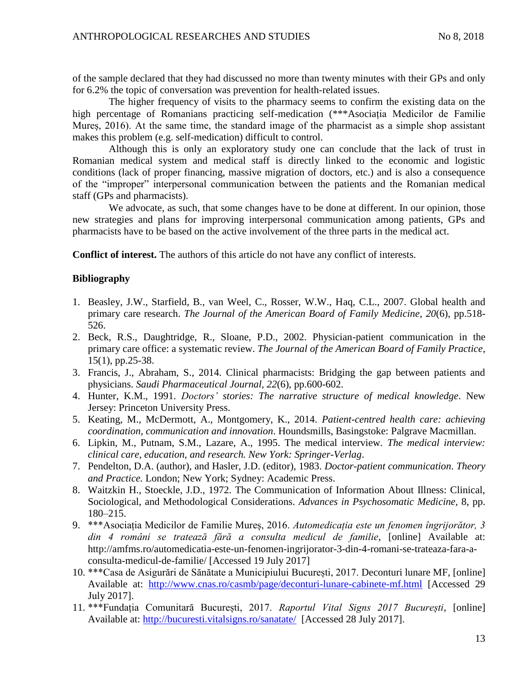of the sample declared that they had discussed no more than twenty minutes with their GPs and only for 6.2% the topic of conversation was prevention for health-related issues.

The higher frequency of visits to the pharmacy seems to confirm the existing data on the high percentage of Romanians practicing self-medication (\*\*\*Asociația Medicilor de Familie Mureș, 2016). At the same time, the standard image of the pharmacist as a simple shop assistant makes this problem (e.g. self-medication) difficult to control.

Although this is only an exploratory study one can conclude that the lack of trust in Romanian medical system and medical staff is directly linked to the economic and logistic conditions (lack of proper financing, massive migration of doctors, etc.) and is also a consequence of the "improper" interpersonal communication between the patients and the Romanian medical staff (GPs and pharmacists).

We advocate, as such, that some changes have to be done at different. In our opinion, those new strategies and plans for improving interpersonal communication among patients, GPs and pharmacists have to be based on the active involvement of the three parts in the medical act.

**Conflict of interest.** The authors of this article do not have any conflict of interests.

## **Bibliography**

- 1. Beasley, J.W., Starfield, B., van Weel, C., Rosser, W.W., Haq, C.L., 2007. Global health and primary care research. *The Journal of the American Board of Family Medicine*, *20*(6), pp.518- 526.
- 2. Beck, R.S., Daughtridge, R., Sloane, P.D., 2002. Physician-patient communication in the primary care office: a systematic review. *The Journal of the American Board of Family Practice*, 15(1), pp.25-38.
- 3. Francis, J., Abraham, S., 2014. Clinical pharmacists: Bridging the gap between patients and physicians. *Saudi Pharmaceutical Journal*, *22*(6), pp.600-602.
- 4. Hunter, K.M., 1991. *Doctors' stories: The narrative structure of medical knowledge*. New Jersey: Princeton University Press.
- 5. Keating, M., McDermott, A., Montgomery, K., 2014. *Patient-centred health care: achieving coordination, communication and innovation*. Houndsmills, Basingstoke: Palgrave Macmillan.
- 6. Lipkin, M., Putnam, S.M., Lazare, A., 1995. The medical interview. *The medical interview: clinical care, education, and research. New York: Springer-Verlag*.
- 7. Pendelton, D.A. (author), and Hasler, J.D. (editor), 1983. *Doctor-patient communication*. *Theory and Practice.* London; New York; Sydney: Academic Press.
- 8. Waitzkin H., Stoeckle, J.D., 1972. The Communication of Information About Illness: Clinical, Sociological, and Methodological Considerations. *Advances in Psychosomatic Medicine,* 8, pp. 180–215.
- 9. \*\*\*Asociația Medicilor de Familie Mureș, 2016. *Automedicația este un fenomen îngrijorător, 3 din 4 români se tratează fără a consulta medicul de familie*, [online] Available at: http://amfms.ro/automedicatia-este-un-fenomen-ingrijorator-3-din-4-romani-se-trateaza-fara-aconsulta-medicul-de-familie/ [Accessed 19 July 2017]
- 10. \*\*\*Casa de Asigurări de Sănătate a Municipiului București, 2017. Deconturi lunare MF, [online] Available at: <http://www.cnas.ro/casmb/page/deconturi-lunare-cabinete-mf.html> [Accessed 29 July 2017].
- 11. \*\*\*Fundația Comunitară București, 2017. *Raportul Vital Signs 2017 București*, [online] Available at:<http://bucuresti.vitalsigns.ro/sanatate/>[Accessed 28 July 2017].